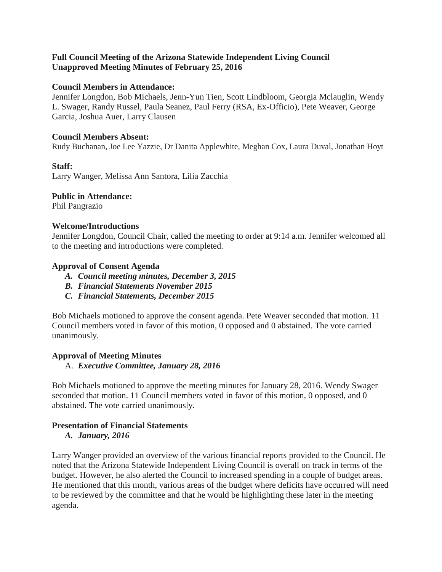# **Full Council Meeting of the Arizona Statewide Independent Living Council Unapproved Meeting Minutes of February 25, 2016**

## **Council Members in Attendance:**

Jennifer Longdon, Bob Michaels, Jenn-Yun Tien, Scott Lindbloom, Georgia Mclauglin, Wendy L. Swager, Randy Russel, Paula Seanez, Paul Ferry (RSA, Ex-Officio), Pete Weaver, George Garcia, Joshua Auer, Larry Clausen

#### **Council Members Absent:**

Rudy Buchanan, Joe Lee Yazzie, Dr Danita Applewhite, Meghan Cox, Laura Duval, Jonathan Hoyt

#### **Staff:**

Larry Wanger, Melissa Ann Santora, Lilia Zacchia

#### **Public in Attendance:**

Phil Pangrazio

#### **Welcome/Introductions**

Jennifer Longdon, Council Chair, called the meeting to order at 9:14 a.m. Jennifer welcomed all to the meeting and introductions were completed.

#### **Approval of Consent Agenda**

- *A. Council meeting minutes, December 3, 2015*
- *B. Financial Statements November 2015*
- *C. Financial Statements, December 2015*

Bob Michaels motioned to approve the consent agenda. Pete Weaver seconded that motion. 11 Council members voted in favor of this motion, 0 opposed and 0 abstained. The vote carried unanimously.

## **Approval of Meeting Minutes**

A. *Executive Committee, January 28, 2016*

Bob Michaels motioned to approve the meeting minutes for January 28, 2016. Wendy Swager seconded that motion. 11 Council members voted in favor of this motion, 0 opposed, and 0 abstained. The vote carried unanimously.

# **Presentation of Financial Statements**

*A. January, 2016*

Larry Wanger provided an overview of the various financial reports provided to the Council. He noted that the Arizona Statewide Independent Living Council is overall on track in terms of the budget. However, he also alerted the Council to increased spending in a couple of budget areas. He mentioned that this month, various areas of the budget where deficits have occurred will need to be reviewed by the committee and that he would be highlighting these later in the meeting agenda.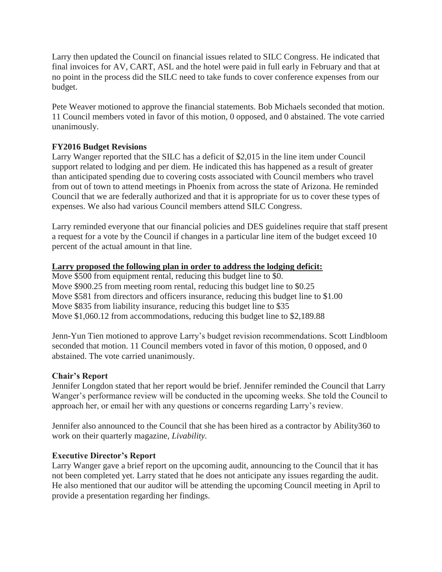Larry then updated the Council on financial issues related to SILC Congress. He indicated that final invoices for AV, CART, ASL and the hotel were paid in full early in February and that at no point in the process did the SILC need to take funds to cover conference expenses from our budget.

Pete Weaver motioned to approve the financial statements. Bob Michaels seconded that motion. 11 Council members voted in favor of this motion, 0 opposed, and 0 abstained. The vote carried unanimously.

# **FY2016 Budget Revisions**

Larry Wanger reported that the SILC has a deficit of \$2,015 in the line item under Council support related to lodging and per diem. He indicated this has happened as a result of greater than anticipated spending due to covering costs associated with Council members who travel from out of town to attend meetings in Phoenix from across the state of Arizona. He reminded Council that we are federally authorized and that it is appropriate for us to cover these types of expenses. We also had various Council members attend SILC Congress.

Larry reminded everyone that our financial policies and DES guidelines require that staff present a request for a vote by the Council if changes in a particular line item of the budget exceed 10 percent of the actual amount in that line.

# **Larry proposed the following plan in order to address the lodging deficit:**

Move \$500 from equipment rental, reducing this budget line to \$0. Move \$900.25 from meeting room rental, reducing this budget line to \$0.25 Move \$581 from directors and officers insurance, reducing this budget line to \$1.00 Move \$835 from liability insurance, reducing this budget line to \$35 Move \$1,060.12 from accommodations, reducing this budget line to \$2,189.88

Jenn-Yun Tien motioned to approve Larry's budget revision recommendations. Scott Lindbloom seconded that motion. 11 Council members voted in favor of this motion, 0 opposed, and 0 abstained. The vote carried unanimously.

## **Chair's Report**

Jennifer Longdon stated that her report would be brief. Jennifer reminded the Council that Larry Wanger's performance review will be conducted in the upcoming weeks. She told the Council to approach her, or email her with any questions or concerns regarding Larry's review.

Jennifer also announced to the Council that she has been hired as a contractor by Ability360 to work on their quarterly magazine, *Livability.*

# **Executive Director's Report**

Larry Wanger gave a brief report on the upcoming audit, announcing to the Council that it has not been completed yet. Larry stated that he does not anticipate any issues regarding the audit. He also mentioned that our auditor will be attending the upcoming Council meeting in April to provide a presentation regarding her findings.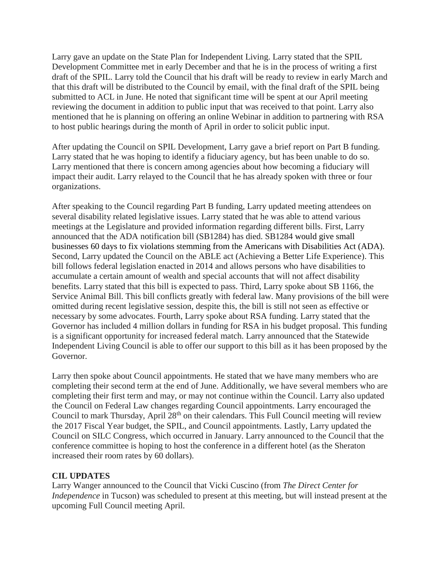Larry gave an update on the State Plan for Independent Living. Larry stated that the SPIL Development Committee met in early December and that he is in the process of writing a first draft of the SPIL. Larry told the Council that his draft will be ready to review in early March and that this draft will be distributed to the Council by email, with the final draft of the SPIL being submitted to ACL in June. He noted that significant time will be spent at our April meeting reviewing the document in addition to public input that was received to that point. Larry also mentioned that he is planning on offering an online Webinar in addition to partnering with RSA to host public hearings during the month of April in order to solicit public input.

After updating the Council on SPIL Development, Larry gave a brief report on Part B funding. Larry stated that he was hoping to identify a fiduciary agency, but has been unable to do so. Larry mentioned that there is concern among agencies about how becoming a fiduciary will impact their audit. Larry relayed to the Council that he has already spoken with three or four organizations.

After speaking to the Council regarding Part B funding, Larry updated meeting attendees on several disability related legislative issues. Larry stated that he was able to attend various meetings at the Legislature and provided information regarding different bills. First, Larry announced that the ADA notification bill (SB1284) has died. SB1284 would give small businesses 60 days to fix violations stemming from the Americans with Disabilities Act (ADA). Second, Larry updated the Council on the ABLE act (Achieving a Better Life Experience). This bill follows federal legislation enacted in 2014 and allows persons who have disabilities to accumulate a certain amount of wealth and special accounts that will not affect disability benefits. Larry stated that this bill is expected to pass. Third, Larry spoke about SB 1166, the Service Animal Bill. This bill conflicts greatly with federal law. Many provisions of the bill were omitted during recent legislative session, despite this, the bill is still not seen as effective or necessary by some advocates. Fourth, Larry spoke about RSA funding. Larry stated that the Governor has included 4 million dollars in funding for RSA in his budget proposal. This funding is a significant opportunity for increased federal match. Larry announced that the Statewide Independent Living Council is able to offer our support to this bill as it has been proposed by the Governor.

Larry then spoke about Council appointments. He stated that we have many members who are completing their second term at the end of June. Additionally, we have several members who are completing their first term and may, or may not continue within the Council. Larry also updated the Council on Federal Law changes regarding Council appointments. Larry encouraged the Council to mark Thursday, April 28<sup>th</sup> on their calendars. This Full Council meeting will review the 2017 Fiscal Year budget, the SPIL, and Council appointments. Lastly, Larry updated the Council on SILC Congress, which occurred in January. Larry announced to the Council that the conference committee is hoping to host the conference in a different hotel (as the Sheraton increased their room rates by 60 dollars).

# **CIL UPDATES**

Larry Wanger announced to the Council that Vicki Cuscino (from *The Direct Center for Independence* in Tucson) was scheduled to present at this meeting, but will instead present at the upcoming Full Council meeting April.